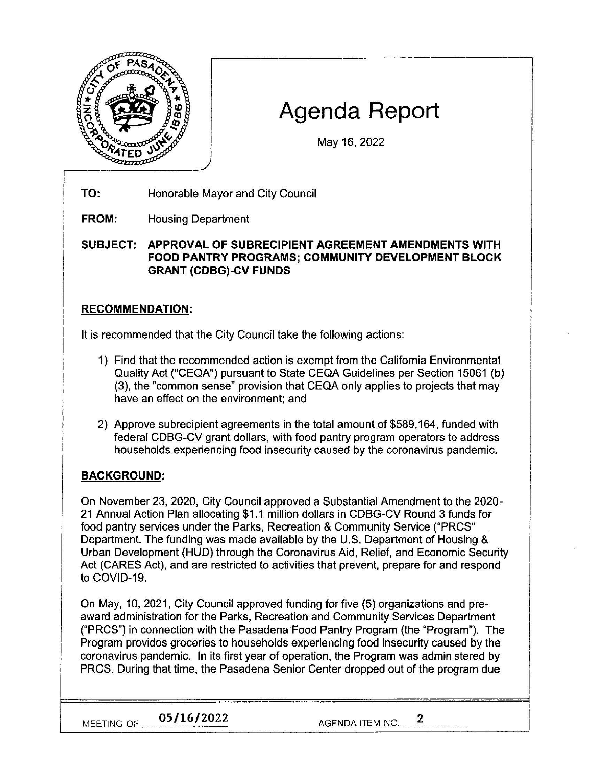

# **Agenda Report**

May 16, 2022

- **TO:**  Honorable Mayor and City Council
- **FROM:**  Housing Department

**SUBJECT: APPROVAL OF SUBRECIPIENT AGREEMENT AMENDMENTS WITH FOOD PANTRY PROGRAMS; COMMUNITY DEVELOPMENT BLOCK GRANT {CDBG)-CV FUNDS** 

### **RECOMMENDATION:**

It is recommended that the City Council take the following actions:

- 1) Find that the recommended action is exempt from the California Environmental Quality Act ("CEQA") pursuant to State CEQA Guidelines per Section 15061 (b) (3), the "common sense" provision that CEQA only applies to projects that may have an effect on the environment; and
- 2) Approve subrecipient agreements in the total amount of \$589,164, funded with federal CDBG-CV grant dollars, with food pantry program operators to address households experiencing food insecurity caused by the coronavirus pandemic.

## **BACKGROUND:**

On November 23, 2020, City Council approved a Substantial Amendment to the 2020- 21 Annual Action Plan allocating \$1.1 million dollars in CDBG-CV Round 3 funds for food pantry services under the Parks, Recreation & Community Service ("PRCS" Department. The funding was made available by the U.S. Department of Housing & Urban Development (HUD) through the Coronavirus Aid, Relief, and Economic Security Act (CARES Act), and are restricted to activities that prevent, prepare for and respond to COVID-19.

On May, 10, 2021, City Council approved funding for five (5) organizations and preaward administration for the Parks, Recreation and Community Services Department ("PRCS") in connection with the Pasadena Food Pantry Program (the "Program"). The Program provides groceries to households experiencing food insecurity caused by the coronavirus pandemic. In its first year of operation, the Program was administered by PRCS. During that time, the Pasadena Senior Center dropped out of the program due

**MEETING OF 32/16/2022** AGENDA ITEM NO. 2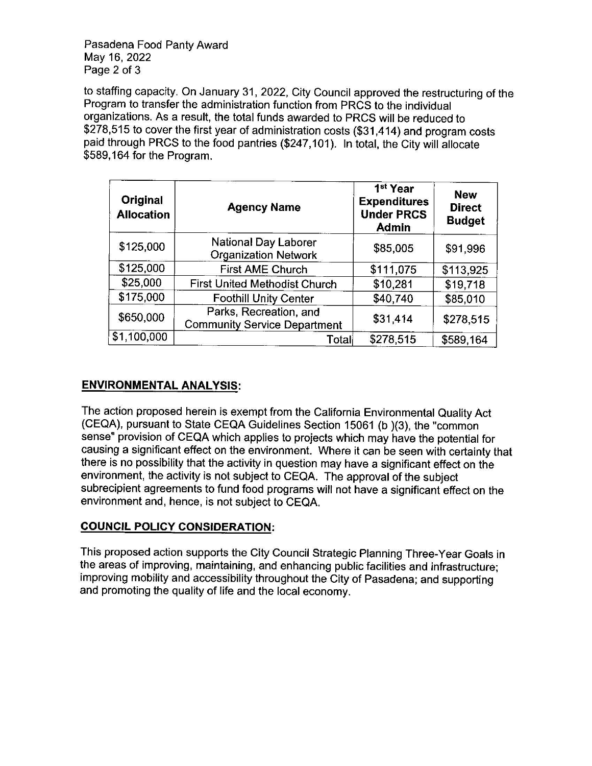Pasadena Food Panty Award May 16, 2022 Page 2 of 3

to staffing capacity. On January 31, 2022, City Council approved the restructuring of the Program to transfer the administration function from PRCS to the individual organizations. As a result, the total funds awarded to PRCS will be reduced to \$278,515 to cover the first year of administration costs (\$31,414) and program costs paid through PRCS to the food pantries (\$247,101). In total, the City will allocate \$589,164 for the Program.

| Original<br><b>Allocation</b> | <b>Agency Name</b>                                            | 1 <sup>st</sup> Year<br><b>Expenditures</b><br><b>Under PRCS</b><br><b>Admin</b> | <b>New</b><br><b>Direct</b><br><b>Budget</b> |
|-------------------------------|---------------------------------------------------------------|----------------------------------------------------------------------------------|----------------------------------------------|
| \$125,000                     | <b>National Day Laborer</b><br><b>Organization Network</b>    | \$85,005                                                                         | \$91,996                                     |
| \$125,000                     | <b>First AME Church</b>                                       | \$111,075                                                                        | \$113,925                                    |
| \$25,000                      | <b>First United Methodist Church</b>                          | \$10,281                                                                         | \$19,718                                     |
| \$175,000                     | <b>Foothill Unity Center</b>                                  | \$40,740                                                                         | \$85,010                                     |
| \$650,000                     | Parks, Recreation, and<br><b>Community Service Department</b> | \$31,414                                                                         | \$278,515                                    |
| \$1,100,000                   | Total                                                         | \$278,515                                                                        | \$589,164                                    |

#### **ENVIRONMENTAL ANALYSIS:**

The action proposed herein is exempt from the California Environmental Quality Act (CEQA), pursuant to State CEQA Guidelines Section 15061 (b )(3), the "common sense" provision of CEQA which applies to projects which may have the potential for causing a significant effect on the environment. Where it can be seen with certainty that there is no possibility that the activity in question may have a significant effect on the environment, the activity is not subject to CEQA. The approval of the subject subrecipient agreements to fund food programs will not have a significant effect on the environment and, hence, is not subject to CEQA.

#### **COUNCIL POLICY CONSIDERATION:**

This proposed action supports the City Council Strategic Planning Three-Year Goals in the areas of improving, maintaining, and enhancing public facilities and infrastructure; improving mobility and accessibility throughout the City of Pasadena; and supporting and promoting the quality of life and the local economy.